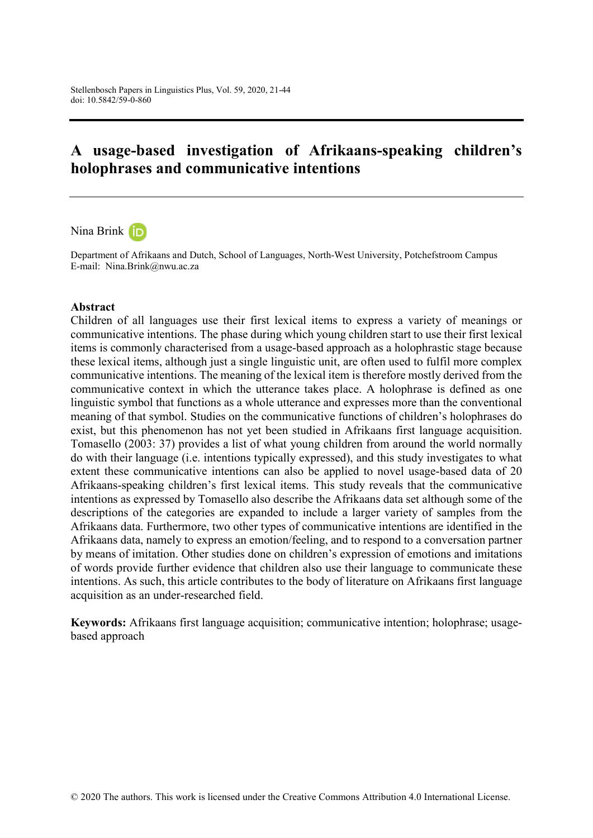# **A usage-based investigation of Afrikaans-speaking children's holophrases and communicative intentions**

Nina Brink **D** 

Department of Afrikaans and Dutch, School of Languages, North-West University, Potchefstroom Campus E-mail: [Nina.Brink@nwu.ac.za](mailto:Nina.Brink@nwu.ac.za)

#### **Abstract**

Children of all languages use their first lexical items to express a variety of meanings or communicative intentions. The phase during which young children start to use their first lexical items is commonly characterised from a usage-based approach as a holophrastic stage because these lexical items, although just a single linguistic unit, are often used to fulfil more complex communicative intentions. The meaning of the lexical item is therefore mostly derived from the communicative context in which the utterance takes place. A holophrase is defined as one linguistic symbol that functions as a whole utterance and expresses more than the conventional meaning of that symbol. Studies on the communicative functions of children's holophrases do exist, but this phenomenon has not yet been studied in Afrikaans first language acquisition. Tomasello (2003: 37) provides a list of what young children from around the world normally do with their language (i.e. intentions typically expressed), and this study investigates to what extent these communicative intentions can also be applied to novel usage-based data of 20 Afrikaans-speaking children's first lexical items. This study reveals that the communicative intentions as expressed by Tomasello also describe the Afrikaans data set although some of the descriptions of the categories are expanded to include a larger variety of samples from the Afrikaans data. Furthermore, two other types of communicative intentions are identified in the Afrikaans data, namely to express an emotion/feeling, and to respond to a conversation partner by means of imitation. Other studies done on children's expression of emotions and imitations of words provide further evidence that children also use their language to communicate these intentions. As such, this article contributes to the body of literature on Afrikaans first language acquisition as an under-researched field.

**Keywords:** Afrikaans first language acquisition; communicative intention; holophrase; usagebased approach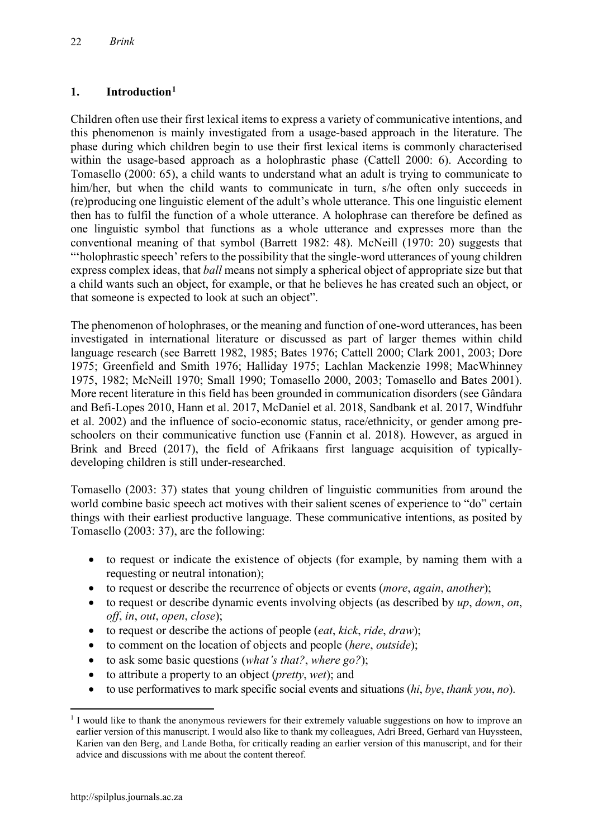### **1. Introduction[1](#page-1-0)**

Children often use their first lexical items to express a variety of communicative intentions, and this phenomenon is mainly investigated from a usage-based approach in the literature. The phase during which children begin to use their first lexical items is commonly characterised within the usage-based approach as a holophrastic phase (Cattell 2000: 6). According to Tomasello (2000: 65), a child wants to understand what an adult is trying to communicate to him/her, but when the child wants to communicate in turn, s/he often only succeeds in (re)producing one linguistic element of the adult's whole utterance. This one linguistic element then has to fulfil the function of a whole utterance. A holophrase can therefore be defined as one linguistic symbol that functions as a whole utterance and expresses more than the conventional meaning of that symbol (Barrett 1982: 48). McNeill (1970: 20) suggests that "'holophrastic speech' refers to the possibility that the single-word utterances of young children express complex ideas, that *ball* means not simply a spherical object of appropriate size but that a child wants such an object, for example, or that he believes he has created such an object, or that someone is expected to look at such an object".

The phenomenon of holophrases, or the meaning and function of one-word utterances, has been investigated in international literature or discussed as part of larger themes within child language research (see Barrett 1982, 1985; Bates 1976; Cattell 2000; Clark 2001, 2003; Dore 1975; Greenfield and Smith 1976; Halliday 1975; Lachlan Mackenzie 1998; MacWhinney 1975, 1982; McNeill 1970; Small 1990; Tomasello 2000, 2003; Tomasello and Bates 2001). More recent literature in this field has been grounded in communication disorders (see Gândara and Befi-Lopes 2010, Hann et al. 2017, McDaniel et al. 2018, Sandbank et al. 2017, Windfuhr et al. 2002) and the influence of socio-economic status, race/ethnicity, or gender among preschoolers on their communicative function use (Fannin et al. 2018). However, as argued in Brink and Breed (2017), the field of Afrikaans first language acquisition of typicallydeveloping children is still under-researched.

Tomasello (2003: 37) states that young children of linguistic communities from around the world combine basic speech act motives with their salient scenes of experience to "do" certain things with their earliest productive language. These communicative intentions, as posited by Tomasello (2003: 37), are the following:

- to request or indicate the existence of objects (for example, by naming them with a requesting or neutral intonation);
- to request or describe the recurrence of objects or events (*more*, *again*, *another*);
- to request or describe dynamic events involving objects (as described by *up*, *down*, *on*, *off*, *in*, *out*, *open*, *close*);
- to request or describe the actions of people (*eat*, *kick*, *ride*, *draw*);
- to comment on the location of objects and people (*here*, *outside*);
- to ask some basic questions (*what's that?*, *where go?*);
- to attribute a property to an object (*pretty*, *wet*); and
- to use performatives to mark specific social events and situations (*hi*, *bye*, *thank you*, *no*).

<span id="page-1-0"></span><sup>&</sup>lt;sup>1</sup> I would like to thank the anonymous reviewers for their extremely valuable suggestions on how to improve an earlier version of this manuscript. I would also like to thank my colleagues, Adri Breed, Gerhard van Huyssteen, Karien van den Berg, and Lande Botha, for critically reading an earlier version of this manuscript, and for their advice and discussions with me about the content thereof.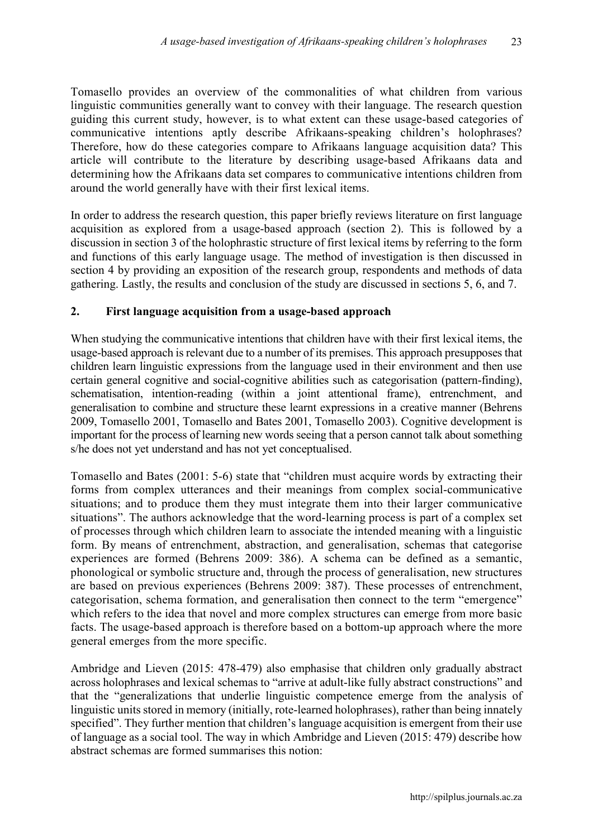Tomasello provides an overview of the commonalities of what children from various linguistic communities generally want to convey with their language. The research question guiding this current study, however, is to what extent can these usage-based categories of communicative intentions aptly describe Afrikaans-speaking children's holophrases? Therefore, how do these categories compare to Afrikaans language acquisition data? This article will contribute to the literature by describing usage-based Afrikaans data and determining how the Afrikaans data set compares to communicative intentions children from around the world generally have with their first lexical items.

In order to address the research question, this paper briefly reviews literature on first language acquisition as explored from a usage-based approach (section 2). This is followed by a discussion in section 3 of the holophrastic structure of first lexical items by referring to the form and functions of this early language usage. The method of investigation is then discussed in section 4 by providing an exposition of the research group, respondents and methods of data gathering. Lastly, the results and conclusion of the study are discussed in sections 5, 6, and 7.

#### **2. First language acquisition from a usage-based approach**

When studying the communicative intentions that children have with their first lexical items, the usage-based approach is relevant due to a number of its premises. This approach presupposes that children learn linguistic expressions from the language used in their environment and then use certain general cognitive and social-cognitive abilities such as categorisation (pattern-finding), schematisation, intention-reading (within a joint attentional frame), entrenchment, and generalisation to combine and structure these learnt expressions in a creative manner (Behrens 2009, Tomasello 2001, Tomasello and Bates 2001, Tomasello 2003). Cognitive development is important for the process of learning new words seeing that a person cannot talk about something s/he does not yet understand and has not yet conceptualised.

Tomasello and Bates (2001: 5-6) state that "children must acquire words by extracting their forms from complex utterances and their meanings from complex social-communicative situations; and to produce them they must integrate them into their larger communicative situations". The authors acknowledge that the word-learning process is part of a complex set of processes through which children learn to associate the intended meaning with a linguistic form. By means of entrenchment, abstraction, and generalisation, schemas that categorise experiences are formed (Behrens 2009: 386). A schema can be defined as a semantic, phonological or symbolic structure and, through the process of generalisation, new structures are based on previous experiences (Behrens 2009: 387). These processes of entrenchment, categorisation, schema formation, and generalisation then connect to the term "emergence" which refers to the idea that novel and more complex structures can emerge from more basic facts. The usage-based approach is therefore based on a bottom-up approach where the more general emerges from the more specific.

Ambridge and Lieven (2015: 478-479) also emphasise that children only gradually abstract across holophrases and lexical schemas to "arrive at adult-like fully abstract constructions" and that the "generalizations that underlie linguistic competence emerge from the analysis of linguistic units stored in memory (initially, rote-learned holophrases), rather than being innately specified". They further mention that children's language acquisition is emergent from their use of language as a social tool. The way in which Ambridge and Lieven (2015: 479) describe how abstract schemas are formed summarises this notion: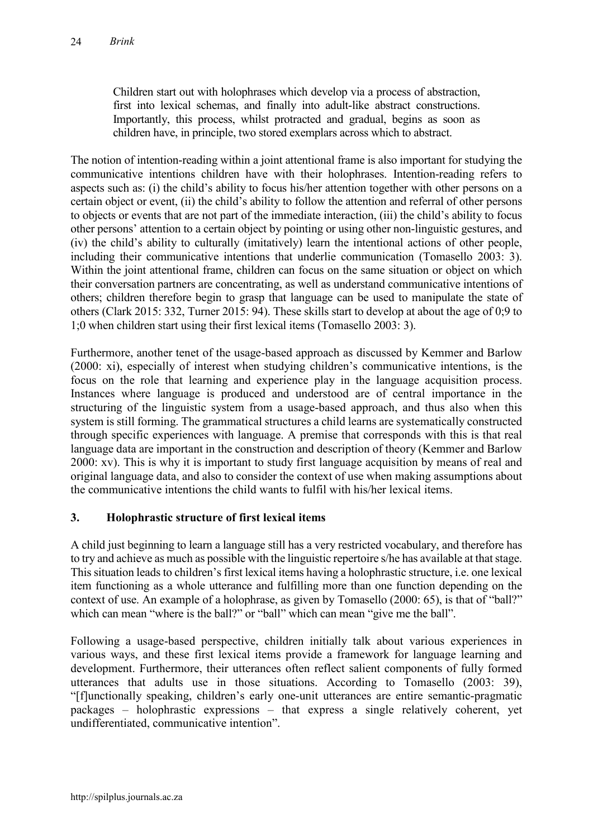Children start out with holophrases which develop via a process of abstraction, first into lexical schemas, and finally into adult-like abstract constructions. Importantly, this process, whilst protracted and gradual, begins as soon as children have, in principle, two stored exemplars across which to abstract.

The notion of intention-reading within a joint attentional frame is also important for studying the communicative intentions children have with their holophrases. Intention-reading refers to aspects such as: (i) the child's ability to focus his/her attention together with other persons on a certain object or event, (ii) the child's ability to follow the attention and referral of other persons to objects or events that are not part of the immediate interaction, (iii) the child's ability to focus other persons' attention to a certain object by pointing or using other non-linguistic gestures, and (iv) the child's ability to culturally (imitatively) learn the intentional actions of other people, including their communicative intentions that underlie communication (Tomasello 2003: 3). Within the joint attentional frame, children can focus on the same situation or object on which their conversation partners are concentrating, as well as understand communicative intentions of others; children therefore begin to grasp that language can be used to manipulate the state of others (Clark 2015: 332, Turner 2015: 94). These skills start to develop at about the age of 0;9 to 1;0 when children start using their first lexical items (Tomasello 2003: 3).

Furthermore, another tenet of the usage-based approach as discussed by Kemmer and Barlow (2000: xi), especially of interest when studying children's communicative intentions, is the focus on the role that learning and experience play in the language acquisition process. Instances where language is produced and understood are of central importance in the structuring of the linguistic system from a usage-based approach, and thus also when this system is still forming. The grammatical structures a child learns are systematically constructed through specific experiences with language. A premise that corresponds with this is that real language data are important in the construction and description of theory (Kemmer and Barlow 2000: xv). This is why it is important to study first language acquisition by means of real and original language data, and also to consider the context of use when making assumptions about the communicative intentions the child wants to fulfil with his/her lexical items.

# **3. Holophrastic structure of first lexical items**

A child just beginning to learn a language still has a very restricted vocabulary, and therefore has to try and achieve as much as possible with the linguistic repertoire s/he has available at that stage. This situation leads to children's first lexical items having a holophrastic structure, i.e. one lexical item functioning as a whole utterance and fulfilling more than one function depending on the context of use. An example of a holophrase, as given by Tomasello (2000: 65), is that of "ball?" which can mean "where is the ball?" or "ball" which can mean "give me the ball".

Following a usage-based perspective, children initially talk about various experiences in various ways, and these first lexical items provide a framework for language learning and development. Furthermore, their utterances often reflect salient components of fully formed utterances that adults use in those situations. According to Tomasello (2003: 39), "[f]unctionally speaking, children's early one-unit utterances are entire semantic-pragmatic packages – holophrastic expressions – that express a single relatively coherent, yet undifferentiated, communicative intention".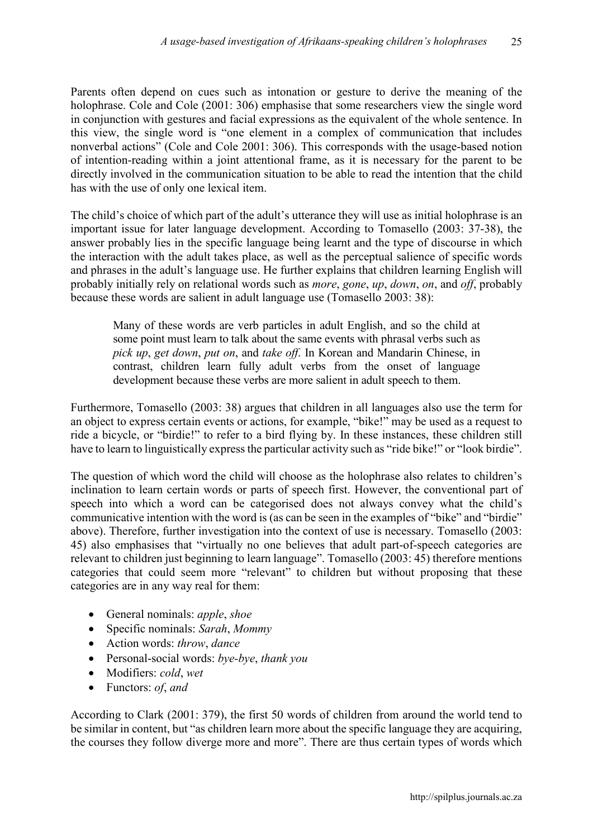Parents often depend on cues such as intonation or gesture to derive the meaning of the holophrase. Cole and Cole (2001: 306) emphasise that some researchers view the single word in conjunction with gestures and facial expressions as the equivalent of the whole sentence. In this view, the single word is "one element in a complex of communication that includes nonverbal actions" (Cole and Cole 2001: 306). This corresponds with the usage-based notion of intention-reading within a joint attentional frame, as it is necessary for the parent to be directly involved in the communication situation to be able to read the intention that the child has with the use of only one lexical item.

The child's choice of which part of the adult's utterance they will use as initial holophrase is an important issue for later language development. According to Tomasello (2003: 37-38), the answer probably lies in the specific language being learnt and the type of discourse in which the interaction with the adult takes place, as well as the perceptual salience of specific words and phrases in the adult's language use. He further explains that children learning English will probably initially rely on relational words such as *more*, *gone*, *up*, *down*, *on*, and *off*, probably because these words are salient in adult language use (Tomasello 2003: 38):

Many of these words are verb particles in adult English, and so the child at some point must learn to talk about the same events with phrasal verbs such as *pick up*, *get down*, *put on*, and *take off*. In Korean and Mandarin Chinese, in contrast, children learn fully adult verbs from the onset of language development because these verbs are more salient in adult speech to them.

Furthermore, Tomasello (2003: 38) argues that children in all languages also use the term for an object to express certain events or actions, for example, "bike!" may be used as a request to ride a bicycle, or "birdie!" to refer to a bird flying by. In these instances, these children still have to learn to linguistically express the particular activity such as "ride bike!" or "look birdie".

The question of which word the child will choose as the holophrase also relates to children's inclination to learn certain words or parts of speech first. However, the conventional part of speech into which a word can be categorised does not always convey what the child's communicative intention with the word is (as can be seen in the examples of "bike" and "birdie" above). Therefore, further investigation into the context of use is necessary. Tomasello (2003: 45) also emphasises that "virtually no one believes that adult part-of-speech categories are relevant to children just beginning to learn language". Tomasello (2003: 45) therefore mentions categories that could seem more "relevant" to children but without proposing that these categories are in any way real for them:

- General nominals: *apple*, *shoe*
- Specific nominals: *Sarah*, *Mommy*
- Action words: *throw*, *dance*
- Personal-social words: *bye-bye*, *thank you*
- Modifiers: *cold*, *wet*
- Functors: *of*, *and*

According to Clark (2001: 379), the first 50 words of children from around the world tend to be similar in content, but "as children learn more about the specific language they are acquiring, the courses they follow diverge more and more". There are thus certain types of words which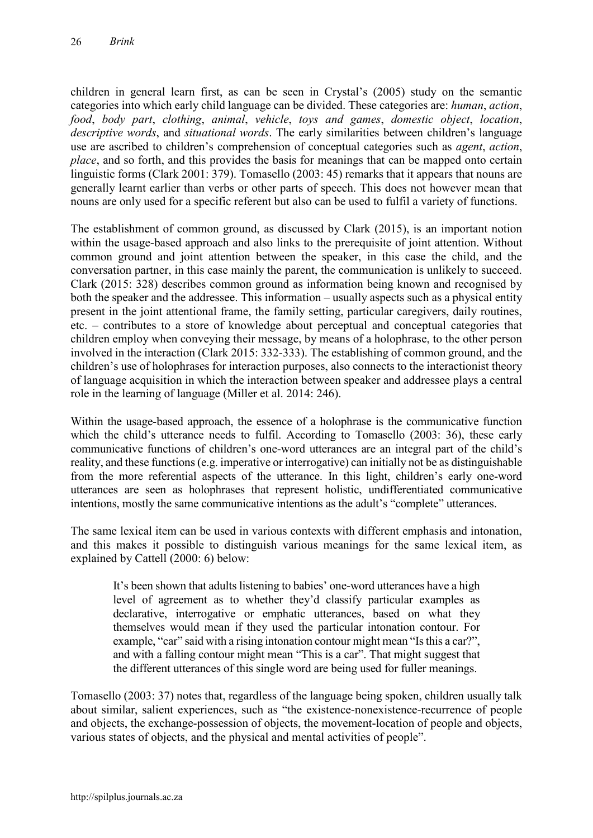children in general learn first, as can be seen in Crystal's (2005) study on the semantic categories into which early child language can be divided. These categories are: *human*, *action*, *food*, *body part*, *clothing*, *animal*, *vehicle*, *toys and games*, *domestic object*, *location*, *descriptive words*, and *situational words*. The early similarities between children's language use are ascribed to children's comprehension of conceptual categories such as *agent*, *action*, *place*, and so forth, and this provides the basis for meanings that can be mapped onto certain linguistic forms (Clark 2001: 379). Tomasello (2003: 45) remarks that it appears that nouns are generally learnt earlier than verbs or other parts of speech. This does not however mean that nouns are only used for a specific referent but also can be used to fulfil a variety of functions.

The establishment of common ground, as discussed by Clark (2015), is an important notion within the usage-based approach and also links to the prerequisite of joint attention. Without common ground and joint attention between the speaker, in this case the child, and the conversation partner, in this case mainly the parent, the communication is unlikely to succeed. Clark (2015: 328) describes common ground as information being known and recognised by both the speaker and the addressee. This information – usually aspects such as a physical entity present in the joint attentional frame, the family setting, particular caregivers, daily routines, etc. – contributes to a store of knowledge about perceptual and conceptual categories that children employ when conveying their message, by means of a holophrase, to the other person involved in the interaction (Clark 2015: 332-333). The establishing of common ground, and the children's use of holophrases for interaction purposes, also connects to the interactionist theory of language acquisition in which the interaction between speaker and addressee plays a central role in the learning of language (Miller et al. 2014: 246).

Within the usage-based approach, the essence of a holophrase is the communicative function which the child's utterance needs to fulfil. According to Tomasello (2003: 36), these early communicative functions of children's one-word utterances are an integral part of the child's reality, and these functions (e.g. imperative or interrogative) can initially not be as distinguishable from the more referential aspects of the utterance. In this light, children's early one-word utterances are seen as holophrases that represent holistic, undifferentiated communicative intentions, mostly the same communicative intentions as the adult's "complete" utterances.

The same lexical item can be used in various contexts with different emphasis and intonation, and this makes it possible to distinguish various meanings for the same lexical item, as explained by Cattell (2000: 6) below:

It's been shown that adults listening to babies' one-word utterances have a high level of agreement as to whether they'd classify particular examples as declarative, interrogative or emphatic utterances, based on what they themselves would mean if they used the particular intonation contour. For example, "car" said with a rising intonation contour might mean "Is this a car?", and with a falling contour might mean "This is a car". That might suggest that the different utterances of this single word are being used for fuller meanings.

Tomasello (2003: 37) notes that, regardless of the language being spoken, children usually talk about similar, salient experiences, such as "the existence-nonexistence-recurrence of people and objects, the exchange-possession of objects, the movement-location of people and objects, various states of objects, and the physical and mental activities of people".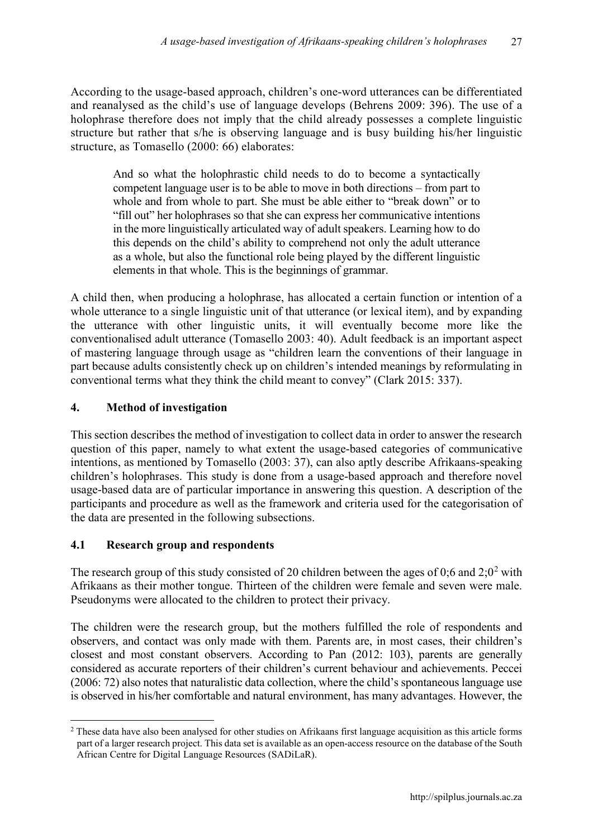According to the usage-based approach, children's one-word utterances can be differentiated and reanalysed as the child's use of language develops (Behrens 2009: 396). The use of a holophrase therefore does not imply that the child already possesses a complete linguistic structure but rather that s/he is observing language and is busy building his/her linguistic structure, as Tomasello (2000: 66) elaborates:

And so what the holophrastic child needs to do to become a syntactically competent language user is to be able to move in both directions – from part to whole and from whole to part. She must be able either to "break down" or to "fill out" her holophrases so that she can express her communicative intentions in the more linguistically articulated way of adult speakers. Learning how to do this depends on the child's ability to comprehend not only the adult utterance as a whole, but also the functional role being played by the different linguistic elements in that whole. This is the beginnings of grammar.

A child then, when producing a holophrase, has allocated a certain function or intention of a whole utterance to a single linguistic unit of that utterance (or lexical item), and by expanding the utterance with other linguistic units, it will eventually become more like the conventionalised adult utterance (Tomasello 2003: 40). Adult feedback is an important aspect of mastering language through usage as "children learn the conventions of their language in part because adults consistently check up on children's intended meanings by reformulating in conventional terms what they think the child meant to convey" (Clark 2015: 337).

# **4. Method of investigation**

This section describes the method of investigation to collect data in order to answer the research question of this paper, namely to what extent the usage-based categories of communicative intentions, as mentioned by Tomasello (2003: 37), can also aptly describe Afrikaans-speaking children's holophrases. This study is done from a usage-based approach and therefore novel usage-based data are of particular importance in answering this question. A description of the participants and procedure as well as the framework and criteria used for the categorisation of the data are presented in the following subsections.

# **4.1 Research group and respondents**

The research group of this study consisted of [2](#page-6-0)0 children between the ages of 0;6 and  $2:0<sup>2</sup>$  with Afrikaans as their mother tongue. Thirteen of the children were female and seven were male. Pseudonyms were allocated to the children to protect their privacy.

The children were the research group, but the mothers fulfilled the role of respondents and observers, and contact was only made with them. Parents are, in most cases, their children's closest and most constant observers. According to Pan (2012: 103), parents are generally considered as accurate reporters of their children's current behaviour and achievements. Peccei (2006: 72) also notes that naturalistic data collection, where the child's spontaneous language use is observed in his/her comfortable and natural environment, has many advantages. However, the

<span id="page-6-0"></span><sup>&</sup>lt;sup>2</sup> These data have also been analysed for other studies on Afrikaans first language acquisition as this article forms part of a larger research project. This data set is available as an open-access resource on the database of the South African Centre for Digital Language Resources (SADiLaR).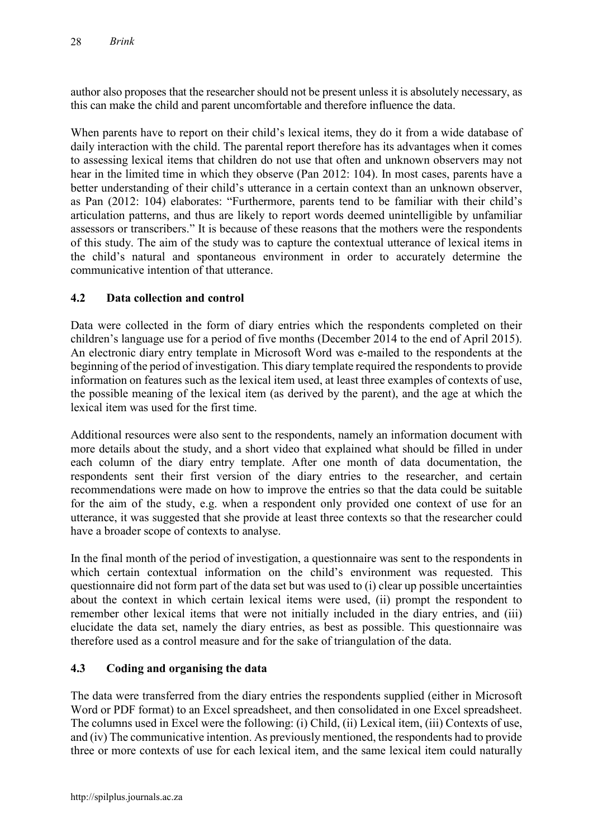author also proposes that the researcher should not be present unless it is absolutely necessary, as this can make the child and parent uncomfortable and therefore influence the data.

When parents have to report on their child's lexical items, they do it from a wide database of daily interaction with the child. The parental report therefore has its advantages when it comes to assessing lexical items that children do not use that often and unknown observers may not hear in the limited time in which they observe (Pan 2012: 104). In most cases, parents have a better understanding of their child's utterance in a certain context than an unknown observer, as Pan (2012: 104) elaborates: "Furthermore, parents tend to be familiar with their child's articulation patterns, and thus are likely to report words deemed unintelligible by unfamiliar assessors or transcribers." It is because of these reasons that the mothers were the respondents of this study. The aim of the study was to capture the contextual utterance of lexical items in the child's natural and spontaneous environment in order to accurately determine the communicative intention of that utterance.

## **4.2 Data collection and control**

Data were collected in the form of diary entries which the respondents completed on their children's language use for a period of five months (December 2014 to the end of April 2015). An electronic diary entry template in Microsoft Word was e-mailed to the respondents at the beginning of the period of investigation. This diary template required the respondents to provide information on features such as the lexical item used, at least three examples of contexts of use, the possible meaning of the lexical item (as derived by the parent), and the age at which the lexical item was used for the first time.

Additional resources were also sent to the respondents, namely an information document with more details about the study, and a short video that explained what should be filled in under each column of the diary entry template. After one month of data documentation, the respondents sent their first version of the diary entries to the researcher, and certain recommendations were made on how to improve the entries so that the data could be suitable for the aim of the study, e.g. when a respondent only provided one context of use for an utterance, it was suggested that she provide at least three contexts so that the researcher could have a broader scope of contexts to analyse.

In the final month of the period of investigation, a questionnaire was sent to the respondents in which certain contextual information on the child's environment was requested. This questionnaire did not form part of the data set but was used to (i) clear up possible uncertainties about the context in which certain lexical items were used, (ii) prompt the respondent to remember other lexical items that were not initially included in the diary entries, and (iii) elucidate the data set, namely the diary entries, as best as possible. This questionnaire was therefore used as a control measure and for the sake of triangulation of the data.

## **4.3 Coding and organising the data**

The data were transferred from the diary entries the respondents supplied (either in Microsoft Word or PDF format) to an Excel spreadsheet, and then consolidated in one Excel spreadsheet. The columns used in Excel were the following: (i) Child, (ii) Lexical item, (iii) Contexts of use, and (iv) The communicative intention. As previously mentioned, the respondents had to provide three or more contexts of use for each lexical item, and the same lexical item could naturally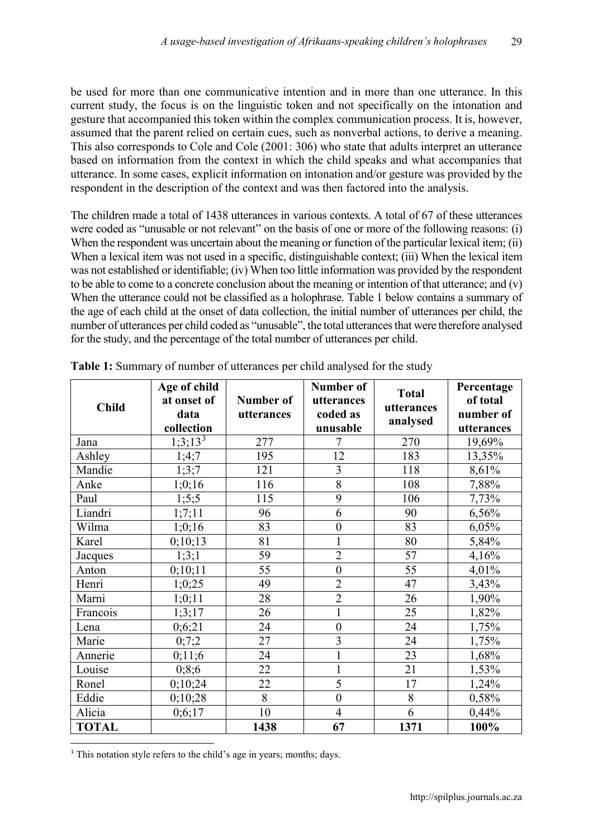be used for more than one communicative intention and in more than one utterance. In this current study, the focus is on the linguistic token and not specifically on the intonation and gesture that accompanied this token within the complex communication process. It is, however, assumed that the parent relied on certain cues, such as nonverbal actions, to derive a meaning. This also corresponds to Cole and Cole (2001: 306) who state that adults interpret an utterance based on information from the context in which the child speaks and what accompanies that utterance. In some cases, explicit information on intonation and/or gesture was provided by the respondent in the description of the context and was then factored into the analysis.

The children made a total of 1438 utterances in various contexts. A total of 67 of these utterances were coded as "unusable or not relevant" on the basis of one or more of the following reasons: (i) When the respondent was uncertain about the meaning or function of the particular lexical item; (ii) When a lexical item was not used in a specific, distinguishable context; (iii) When the lexical item was not established or identifiable; (iv) When too little information was provided by the respondent to be able to come to a concrete conclusion about the meaning or intention of that utterance; and (v) When the utterance could not be classified as a holophrase. Table 1 below contains a summary of the age of each child at the onset of data collection, the initial number of utterances per child, the number of utterances per child coded as "unusable", the total utterances that were therefore analysed for the study, and the percentage of the total number of utterances per child.

| <b>Child</b> | Age of child<br>at onset of<br>data<br>collection | <b>Number of</b><br>utterances | <b>Number of</b><br>utterances<br>coded as<br>unusable | <b>Total</b><br>utterances<br>analysed | Percentage<br>of total<br>number of<br>utterances |
|--------------|---------------------------------------------------|--------------------------------|--------------------------------------------------------|----------------------------------------|---------------------------------------------------|
| Jana         | $1;3;13^3$                                        | 277                            | 7                                                      | 270                                    | 19,69%                                            |
| Ashley       | 1;4;7                                             | 195                            | 12                                                     | 183                                    | 13,35%                                            |
| Mandie       | 1;3;7                                             | 121                            | $\overline{3}$                                         | 118                                    | 8,61%                                             |
| Anke         | 1;0;16                                            | 116                            | $\overline{8}$                                         | 108                                    | 7,88%                                             |
| Paul         | 1;5;5                                             | 115                            | $\overline{9}$                                         | 106                                    | 7,73%                                             |
| Liandri      | 1;7;11                                            | 96                             | 6                                                      | 90                                     | 6,56%                                             |
| Wilma        | 1;0;16                                            | 83                             | $\boldsymbol{0}$                                       | 83                                     | 6,05%                                             |
| Karel        | 0;10;13                                           | 81                             | $\mathbf{1}$                                           | 80                                     | 5,84%                                             |
| Jacques      | 1;3;1                                             | 59                             | $\overline{2}$                                         | 57                                     | 4,16%                                             |
| Anton        | 0;10;11                                           | 55                             | $\boldsymbol{0}$                                       | 55                                     | 4,01%                                             |
| Henri        | 1;0;25                                            | 49                             | $\overline{2}$                                         | 47                                     | 3,43%                                             |
| Marni        | 1;0;11                                            | 28                             | $\overline{2}$                                         | 26                                     | 1,90%                                             |
| Francois     | 1;3;17                                            | 26                             | $\mathbf{1}$                                           | 25                                     | 1,82%                                             |
| Lena         | 0;6;21                                            | 24                             | $\boldsymbol{0}$                                       | 24                                     | 1,75%                                             |
| Marie        | 0;7;2                                             | 27                             | 3                                                      | 24                                     | 1,75%                                             |
| Annerie      | 0;11;6                                            | 24                             | $\mathbf{1}$                                           | 23                                     | 1,68%                                             |
| Louise       | 0;8;6                                             | 22                             | $\mathbf{1}$                                           | 21                                     | 1,53%                                             |
| Ronel        | 0;10;24                                           | 22                             | 5                                                      | 17                                     | 1,24%                                             |
| Eddie        | 0;10;28                                           | 8                              | $\boldsymbol{0}$                                       | 8                                      | 0,58%                                             |
| Alicia       | 0;6;17                                            | 10                             | $\overline{4}$                                         | 6                                      | 0,44%                                             |
| <b>TOTAL</b> |                                                   | 1438                           | 67                                                     | 1371                                   | 100%                                              |

**Table 1:** Summary of number of utterances per child analysed for the study

<span id="page-8-0"></span><sup>3</sup> This notation style refers to the child's age in years; months; days.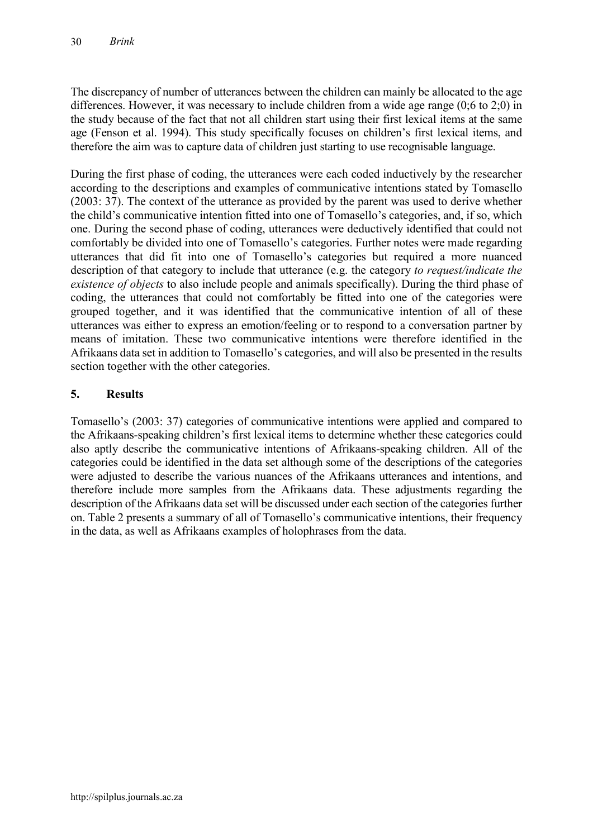The discrepancy of number of utterances between the children can mainly be allocated to the age differences. However, it was necessary to include children from a wide age range (0;6 to 2;0) in the study because of the fact that not all children start using their first lexical items at the same age (Fenson et al. 1994). This study specifically focuses on children's first lexical items, and therefore the aim was to capture data of children just starting to use recognisable language.

During the first phase of coding, the utterances were each coded inductively by the researcher according to the descriptions and examples of communicative intentions stated by Tomasello (2003: 37). The context of the utterance as provided by the parent was used to derive whether the child's communicative intention fitted into one of Tomasello's categories, and, if so, which one. During the second phase of coding, utterances were deductively identified that could not comfortably be divided into one of Tomasello's categories. Further notes were made regarding utterances that did fit into one of Tomasello's categories but required a more nuanced description of that category to include that utterance (e.g. the category *to request/indicate the existence of objects* to also include people and animals specifically). During the third phase of coding, the utterances that could not comfortably be fitted into one of the categories were grouped together, and it was identified that the communicative intention of all of these utterances was either to express an emotion/feeling or to respond to a conversation partner by means of imitation. These two communicative intentions were therefore identified in the Afrikaans data set in addition to Tomasello's categories, and will also be presented in the results section together with the other categories.

## **5. Results**

Tomasello's (2003: 37) categories of communicative intentions were applied and compared to the Afrikaans-speaking children's first lexical items to determine whether these categories could also aptly describe the communicative intentions of Afrikaans-speaking children. All of the categories could be identified in the data set although some of the descriptions of the categories were adjusted to describe the various nuances of the Afrikaans utterances and intentions, and therefore include more samples from the Afrikaans data. These adjustments regarding the description of the Afrikaans data set will be discussed under each section of the categories further on. Table 2 presents a summary of all of Tomasello's communicative intentions, their frequency in the data, as well as Afrikaans examples of holophrases from the data.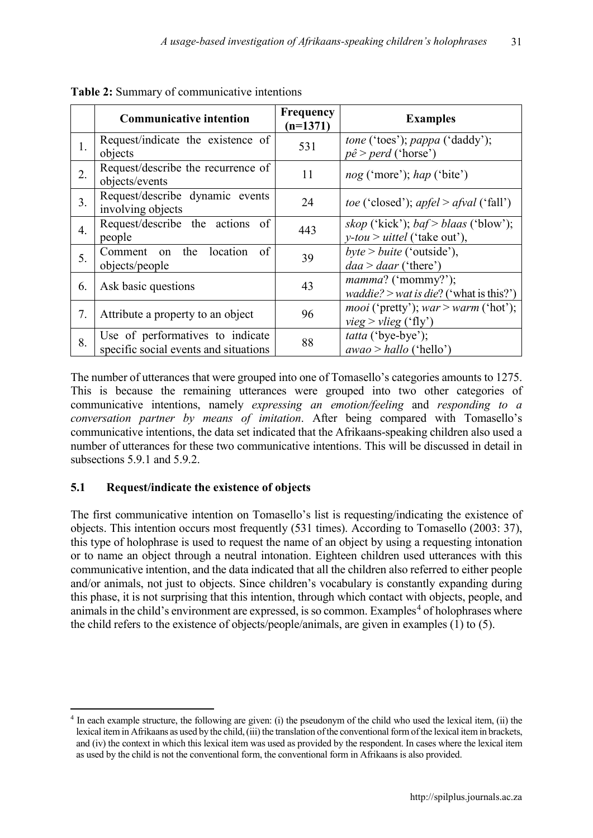|    | <b>Communicative intention</b>                                            | <b>Frequency</b><br>$(n=1371)$ | <b>Examples</b>                                                              |
|----|---------------------------------------------------------------------------|--------------------------------|------------------------------------------------------------------------------|
| 1. | Request/indicate the existence of<br>objects                              | 531                            | <i>tone</i> ('toes'); <i>pappa</i> ('daddy');<br>$p\hat{e}$ > perd ('horse') |
| 2. | Request/describe the recurrence of<br>objects/events                      | 11                             | <i>nog</i> ('more'); <i>hap</i> ('bite')                                     |
| 3. | Request/describe dynamic events<br>involving objects                      | 24                             | <i>toe</i> ('closed'); $apfel > afval$ ('fall')                              |
| 4. | Request/describe the actions<br>of<br>people                              | 443                            | skop ('kick'); $baf > blaas$ ('blow');<br>$y$ -tou > uittel ('take out'),    |
| 5. | the<br>location<br>Comment on<br>of<br>objects/people                     | 39                             | $byte > buite$ ('outside'),<br>$daa > daar$ ('there')                        |
| 6. | Ask basic questions                                                       | 43                             | mamma? ('mommy?');<br><i>waddie?</i> > <i>wat is die?</i> ('what is this?')  |
| 7. | Attribute a property to an object                                         | 96                             | <i>mooi</i> ('pretty'); $war > warm$ ('hot');<br>$vieg > vlieg$ ('fly')      |
| 8. | Use of performatives to indicate<br>specific social events and situations | 88                             | <i>tatta</i> ('bye-bye');<br>$awao > hallo$ ('hello')                        |

**Table 2:** Summary of communicative intentions

The number of utterances that were grouped into one of Tomasello's categories amounts to 1275. This is because the remaining utterances were grouped into two other categories of communicative intentions, namely *expressing an emotion/feeling* and *responding to a conversation partner by means of imitation*. After being compared with Tomasello's communicative intentions, the data set indicated that the Afrikaans-speaking children also used a number of utterances for these two communicative intentions. This will be discussed in detail in subsections 5.9.1 and 5.9.2.

## **5.1 Request/indicate the existence of objects**

The first communicative intention on Tomasello's list is requesting/indicating the existence of objects. This intention occurs most frequently (531 times). According to Tomasello (2003: 37), this type of holophrase is used to request the name of an object by using a requesting intonation or to name an object through a neutral intonation. Eighteen children used utterances with this communicative intention, and the data indicated that all the children also referred to either people and/or animals, not just to objects. Since children's vocabulary is constantly expanding during this phase, it is not surprising that this intention, through which contact with objects, people, and animals in the child's environment are expressed, is so common. Examples<sup>[4](#page-10-0)</sup> of holophrases where the child refers to the existence of objects/people/animals, are given in examples (1) to (5).

<span id="page-10-0"></span> <sup>4</sup> In each example structure, the following are given: (i) the pseudonym of the child who used the lexical item, (ii) the lexical item in Afrikaans as used by the child, (iii) the translation of the conventional form of the lexical item in brackets, and (iv) the context in which this lexical item was used as provided by the respondent. In cases where the lexical item as used by the child is not the conventional form, the conventional form in Afrikaans is also provided.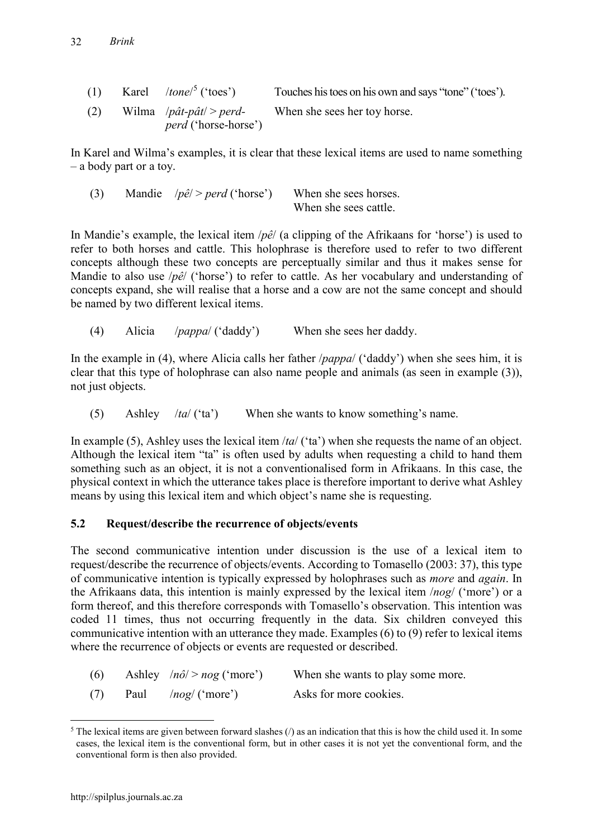| (1) | Karel $/tone/5$ ('toes')                   | Touches his toes on his own and says "tone" ('toes'). |
|-----|--------------------------------------------|-------------------------------------------------------|
| (2) | Wilma / $p\hat{a}t$ -p $\hat{a}t$ /> perd- | When she sees her toy horse.                          |
|     | <i>perd</i> ('horse-horse')                |                                                       |

In Karel and Wilma's examples, it is clear that these lexical items are used to name something – a body part or a toy.

| (3) | Mandie $/p\hat{e}/\text{Perd}$ ('horse') | When she sees horses. |
|-----|------------------------------------------|-----------------------|
|     |                                          | When she sees cattle. |

In Mandie's example, the lexical item /*pê*/ (a clipping of the Afrikaans for 'horse') is used to refer to both horses and cattle. This holophrase is therefore used to refer to two different concepts although these two concepts are perceptually similar and thus it makes sense for Mandie to also use /*pê*/ ('horse') to refer to cattle. As her vocabulary and understanding of concepts expand, she will realise that a horse and a cow are not the same concept and should be named by two different lexical items.

(4) Alicia /*pappa*/ ('daddy') When she sees her daddy.

In the example in (4), where Alicia calls her father /*pappa*/ ('daddy') when she sees him, it is clear that this type of holophrase can also name people and animals (as seen in example (3)), not just objects.

(5) Ashley  $/ta/(t a')$  When she wants to know something's name.

In example (5), Ashley uses the lexical item /*ta*/ ('ta') when she requests the name of an object. Although the lexical item "ta" is often used by adults when requesting a child to hand them something such as an object, it is not a conventionalised form in Afrikaans. In this case, the physical context in which the utterance takes place is therefore important to derive what Ashley means by using this lexical item and which object's name she is requesting.

#### **5.2 Request/describe the recurrence of objects/events**

The second communicative intention under discussion is the use of a lexical item to request/describe the recurrence of objects/events. According to Tomasello (2003: 37), this type of communicative intention is typically expressed by holophrases such as *more* and *again*. In the Afrikaans data, this intention is mainly expressed by the lexical item /*nog*/ ('more') or a form thereof, and this therefore corresponds with Tomasello's observation. This intention was coded 11 times, thus not occurring frequently in the data. Six children conveyed this communicative intention with an utterance they made. Examples (6) to (9) refer to lexical items where the recurrence of objects or events are requested or described.

- (6) Ashley /*nô*/ > *nog* ('more') When she wants to play some more.
- (7) Paul /*nog*/ ('more') Asks for more cookies.

<span id="page-11-0"></span><sup>&</sup>lt;sup>5</sup> The lexical items are given between forward slashes ( $\ell$ ) as an indication that this is how the child used it. In some cases, the lexical item is the conventional form, but in other cases it is not yet the conventional form, and the conventional form is then also provided.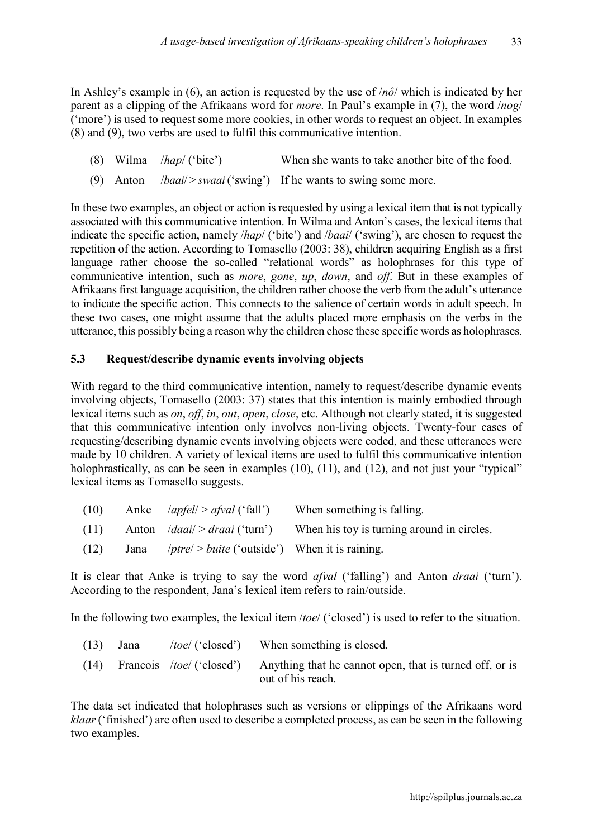In Ashley's example in (6), an action is requested by the use of /*nô*/ which is indicated by her parent as a clipping of the Afrikaans word for *more*. In Paul's example in (7), the word /*nog*/ ('more') is used to request some more cookies, in other words to request an object. In examples (8) and (9), two verbs are used to fulfil this communicative intention.

- (8) Wilma /*hap*/ ('bite') When she wants to take another bite of the food.
- (9) Anton /*baai*/ > *swaai* ('swing') If he wants to swing some more.

In these two examples, an object or action is requested by using a lexical item that is not typically associated with this communicative intention. In Wilma and Anton's cases, the lexical items that indicate the specific action, namely /*hap*/ ('bite') and /*baai*/ ('swing'), are chosen to request the repetition of the action. According to Tomasello (2003: 38), children acquiring English as a first language rather choose the so-called "relational words" as holophrases for this type of communicative intention, such as *more*, *gone*, *up*, *down*, and *off*. But in these examples of Afrikaans first language acquisition, the children rather choose the verb from the adult's utterance to indicate the specific action. This connects to the salience of certain words in adult speech. In these two cases, one might assume that the adults placed more emphasis on the verbs in the utterance, this possibly being a reason why the children chose these specific words as holophrases.

## **5.3 Request/describe dynamic events involving objects**

With regard to the third communicative intention, namely to request/describe dynamic events involving objects, Tomasello (2003: 37) states that this intention is mainly embodied through lexical items such as *on*, *off*, *in*, *out*, *open*, *close*, etc. Although not clearly stated, it is suggested that this communicative intention only involves non-living objects. Twenty-four cases of requesting/describing dynamic events involving objects were coded, and these utterances were made by 10 children. A variety of lexical items are used to fulfil this communicative intention holophrastically, as can be seen in examples (10), (11), and (12), and not just your "typical" lexical items as Tomasello suggests.

| (10) |      | Anke $\angle$ <i>apfel</i> $\angle$ <i>afval</i> ('fall') | When something is falling.                                                              |
|------|------|-----------------------------------------------------------|-----------------------------------------------------------------------------------------|
|      |      |                                                           | (11) Anton <i>(daai/ &gt; draai</i> ('turn') When his toy is turning around in circles. |
| (12) | Jana | $ ptrel  > buite$ ('outside') When it is raining.         |                                                                                         |

It is clear that Anke is trying to say the word *afval* ('falling') and Anton *draai* ('turn'). According to the respondent, Jana's lexical item refers to rain/outside.

In the following two examples, the lexical item /*toe*/ ('closed') is used to refer to the situation.

| (13) | Jana | <i>(toel</i> ('closed') When something is closed.                                                                  |
|------|------|--------------------------------------------------------------------------------------------------------------------|
|      |      | (14) Francois <i>(toe/</i> ('closed') Anything that he cannot open, that is turned off, or is<br>out of his reach. |

The data set indicated that holophrases such as versions or clippings of the Afrikaans word *klaar* ('finished') are often used to describe a completed process, as can be seen in the following two examples.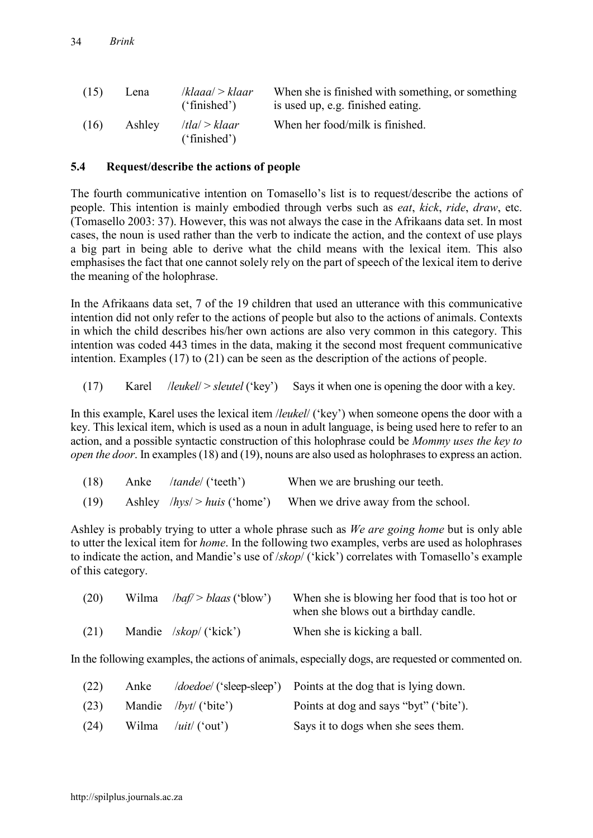| (15) | Lena   | /klaaa/ > klaar<br>('finished') | When she is finished with something, or something<br>is used up, e.g. finished eating. |
|------|--------|---------------------------------|----------------------------------------------------------------------------------------|
| (16) | Ashley | t a  > klaar<br>('finished')    | When her food/milk is finished.                                                        |

## **5.4 Request/describe the actions of people**

The fourth communicative intention on Tomasello's list is to request/describe the actions of people. This intention is mainly embodied through verbs such as *eat*, *kick*, *ride*, *draw*, etc. (Tomasello 2003: 37). However, this was not always the case in the Afrikaans data set. In most cases, the noun is used rather than the verb to indicate the action, and the context of use plays a big part in being able to derive what the child means with the lexical item. This also emphasises the fact that one cannot solely rely on the part of speech of the lexical item to derive the meaning of the holophrase.

In the Afrikaans data set, 7 of the 19 children that used an utterance with this communicative intention did not only refer to the actions of people but also to the actions of animals. Contexts in which the child describes his/her own actions are also very common in this category. This intention was coded 443 times in the data, making it the second most frequent communicative intention. Examples (17) to (21) can be seen as the description of the actions of people.

(17) Karel /*leukel*/ > *sleutel* ('key') Says it when one is opening the door with a key.

In this example, Karel uses the lexical item /*leukel*/ ('key') when someone opens the door with a key. This lexical item, which is used as a noun in adult language, is being used here to refer to an action, and a possible syntactic construction of this holophrase could be *Mommy uses the key to open the door*. In examples (18) and (19), nouns are also used as holophrases to express an action.

| (18) |  | Anke <i>/tande/</i> ('teeth') | When we are brushing our teeth. |
|------|--|-------------------------------|---------------------------------|
|------|--|-------------------------------|---------------------------------|

(19) Ashley /*hys*/ > *huis* ('home') When we drive away from the school.

Ashley is probably trying to utter a whole phrase such as *We are going home* but is only able to utter the lexical item for *home*. In the following two examples, verbs are used as holophrases to indicate the action, and Mandie's use of /*skop*/ ('kick') correlates with Tomasello's example of this category.

| (20) | Wilma $/baf$ > blaas ('blow') | When she is blowing her food that is too hot or<br>when she blows out a birthday candle. |
|------|-------------------------------|------------------------------------------------------------------------------------------|
| (21) | Mandie $/skop/$ ('kick')      | When she is kicking a ball.                                                              |

In the following examples, the actions of animals, especially dogs, are requested or commented on.

| (22) | Anke |                           | <i>doedoel</i> ('sleep-sleep') Points at the dog that is lying down. |
|------|------|---------------------------|----------------------------------------------------------------------|
| (23) |      | Mandie $/bvt/$ ('bite')   | Points at dog and says "byt" ('bite').                               |
| (24) |      | Wilma $\ell$ uit/ ('out') | Says it to dogs when she sees them.                                  |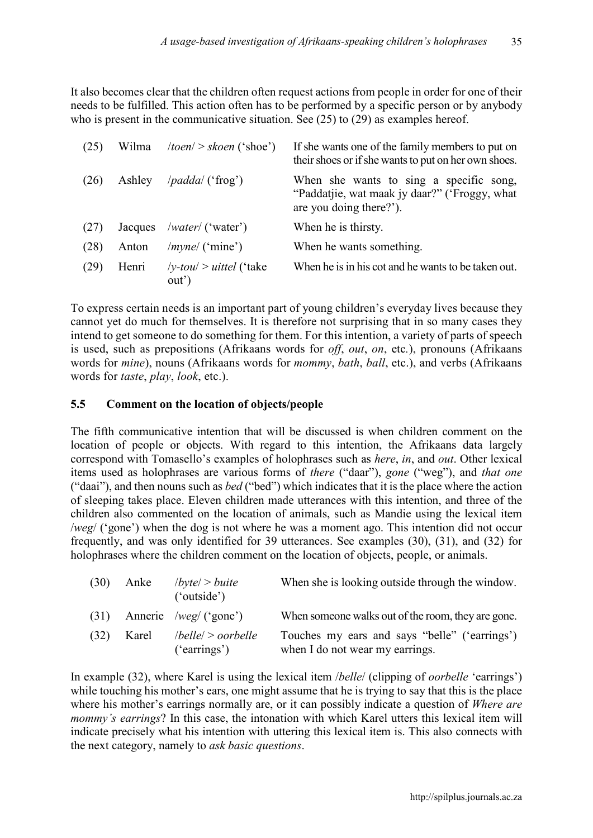It also becomes clear that the children often request actions from people in order for one of their needs to be fulfilled. This action often has to be performed by a specific person or by anybody who is present in the communicative situation. See (25) to (29) as examples hereof.

| (25) | Wilma   | $/toen$ > skoen ('shoe')               | If she wants one of the family members to put on<br>their shoes or if she wants to put on her own shoes.            |
|------|---------|----------------------------------------|---------------------------------------------------------------------------------------------------------------------|
| (26) | Ashley  | $\langle$ /padda $\rangle$ ('frog')    | When she wants to sing a specific song,<br>"Paddatjie, wat maak jy daar?" ('Froggy, what<br>are you doing there?'). |
| (27) | Jacques | $\sqrt{water}/$ ('water')              | When he is thirsty.                                                                                                 |
| (28) | Anton   | $/m$ <i>yne</i> $/$ ('mine')           | When he wants something.                                                                                            |
| (29) | Henri   | $/y$ -tou $/$ > uittel ('take<br>out') | When he is in his cot and he wants to be taken out.                                                                 |

To express certain needs is an important part of young children's everyday lives because they cannot yet do much for themselves. It is therefore not surprising that in so many cases they intend to get someone to do something for them. For this intention, a variety of parts of speech is used, such as prepositions (Afrikaans words for *off*, *out*, *on*, etc*.*), pronouns (Afrikaans words for *mine*), nouns (Afrikaans words for *mommy*, *bath*, *ball*, etc.), and verbs (Afrikaans words for *taste*, *play*, *look*, etc.).

## **5.5 Comment on the location of objects/people**

The fifth communicative intention that will be discussed is when children comment on the location of people or objects. With regard to this intention, the Afrikaans data largely correspond with Tomasello's examples of holophrases such as *here*, *in*, and *out*. Other lexical items used as holophrases are various forms of *there* ("daar"), *gone* ("weg"), and *that one* ("daai"), and then nouns such as *bed* ("bed") which indicates that it is the place where the action of sleeping takes place. Eleven children made utterances with this intention, and three of the children also commented on the location of animals, such as Mandie using the lexical item /*weg*/ ('gone') when the dog is not where he was a moment ago. This intention did not occur frequently, and was only identified for 39 utterances. See examples (30), (31), and (32) for holophrases where the children comment on the location of objects, people, or animals.

| (30) | Anke  | byte  > buite<br>$\text{'outside'}$ | When she is looking outside through the window.                                  |
|------|-------|-------------------------------------|----------------------------------------------------------------------------------|
| (31) |       | Annerie /weg/ $('gone')$            | When someone walks out of the room, they are gone.                               |
| (32) | Karel | $/belle$ > oorbelle<br>('carrings') | Touches my ears and says "belle" ('earrings')<br>when I do not wear my earrings. |

In example (32), where Karel is using the lexical item /*belle*/ (clipping of *oorbelle* 'earrings') while touching his mother's ears, one might assume that he is trying to say that this is the place where his mother's earrings normally are, or it can possibly indicate a question of *Where are mommy's earrings*? In this case, the intonation with which Karel utters this lexical item will indicate precisely what his intention with uttering this lexical item is. This also connects with the next category, namely to *ask basic questions*.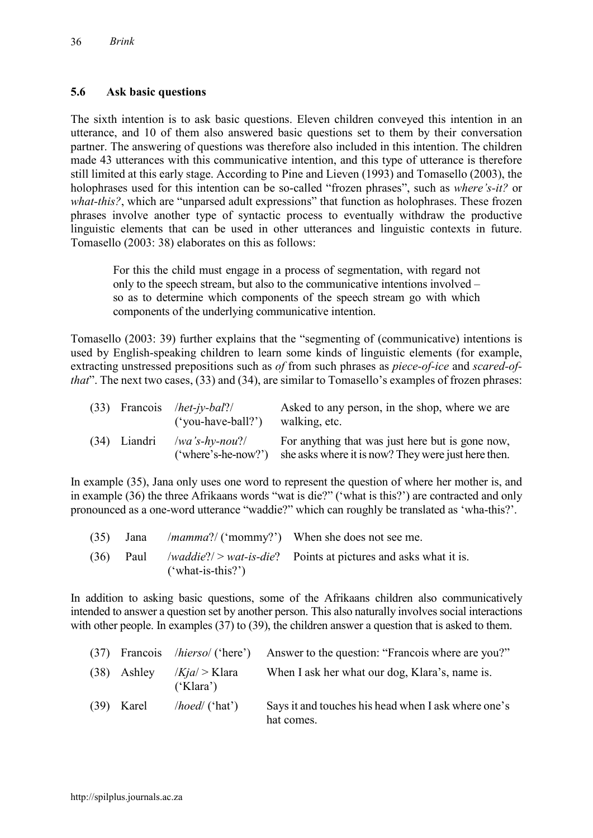#### **5.6 Ask basic questions**

The sixth intention is to ask basic questions. Eleven children conveyed this intention in an utterance, and 10 of them also answered basic questions set to them by their conversation partner. The answering of questions was therefore also included in this intention. The children made 43 utterances with this communicative intention, and this type of utterance is therefore still limited at this early stage. According to Pine and Lieven (1993) and Tomasello (2003), the holophrases used for this intention can be so-called "frozen phrases", such as *where's-it?* or *what-this?*, which are "unparsed adult expressions" that function as holophrases. These frozen phrases involve another type of syntactic process to eventually withdraw the productive linguistic elements that can be used in other utterances and linguistic contexts in future. Tomasello (2003: 38) elaborates on this as follows:

For this the child must engage in a process of segmentation, with regard not only to the speech stream, but also to the communicative intentions involved – so as to determine which components of the speech stream go with which components of the underlying communicative intention.

Tomasello (2003: 39) further explains that the "segmenting of (communicative) intentions is used by English-speaking children to learn some kinds of linguistic elements (for example, extracting unstressed prepositions such as *of* from such phrases as *piece-of-ice* and *scared-ofthat*". The next two cases, (33) and (34), are similar to Tomasello's examples of frozen phrases:

|                | $(33)$ Francois <i>het-iv-bal?/</i><br>$('you-have-ball?')$ | Asked to any person, in the shop, where we are<br>walking, etc.                                                             |
|----------------|-------------------------------------------------------------|-----------------------------------------------------------------------------------------------------------------------------|
| $(34)$ Liandri | $/wa$ 's-hy-nou?/                                           | For anything that was just here but is gone now,<br>('where's-he-now?') she asks where it is now? They were just here then. |

In example (35), Jana only uses one word to represent the question of where her mother is, and in example (36) the three Afrikaans words "wat is die?" ('what is this?') are contracted and only pronounced as a one-word utterance "waddie?" which can roughly be translated as 'wha-this?'.

|  |                     | $(35)$ Jana <i>/mamma?/</i> ('mommy?') When she does not see me.                  |
|--|---------------------|-----------------------------------------------------------------------------------|
|  | $("what-is-this?")$ | (36) Paul <i>/waddie?/&gt;wat-is-die?</i> Points at pictures and asks what it is. |

In addition to asking basic questions, some of the Afrikaans children also communicatively intended to answer a question set by another person. This also naturally involves social interactions with other people. In examples (37) to (39), the children answer a question that is asked to them.

|               |                             | (37) Francois <i>hiersol</i> ('here') Answer to the question: "Francois where are you?" |
|---------------|-----------------------------|-----------------------------------------------------------------------------------------|
| $(38)$ Ashley | $ Kja  >$ Klara<br>(Xlara') | When I ask her what our dog, Klara's, name is.                                          |
| $(39)$ Karel  | $\theta$ /hoed/ ('hat')     | Says it and touches his head when I ask where one's<br>hat comes.                       |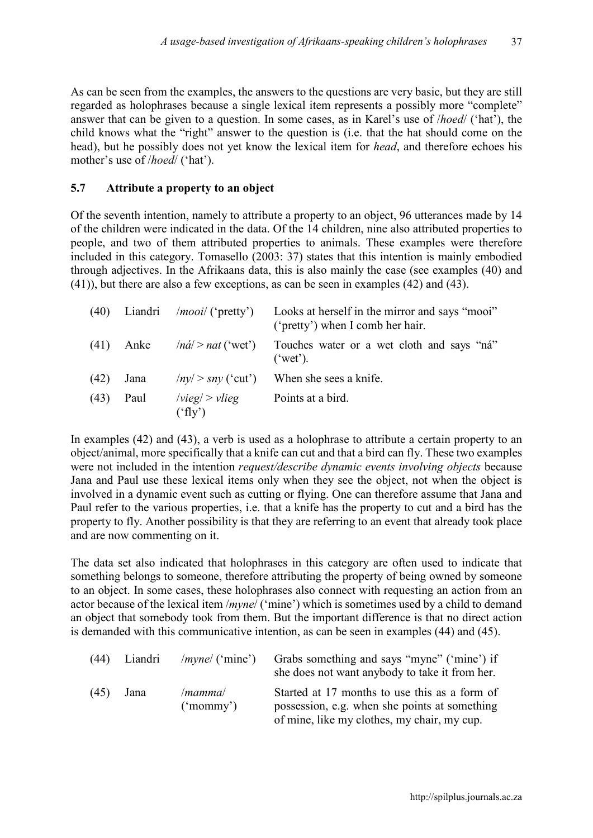As can be seen from the examples, the answers to the questions are very basic, but they are still regarded as holophrases because a single lexical item represents a possibly more "complete" answer that can be given to a question. In some cases, as in Karel's use of /*hoed*/ ('hat'), the child knows what the "right" answer to the question is (i.e. that the hat should come on the head), but he possibly does not yet know the lexical item for *head*, and therefore echoes his mother's use of /*hoed*/ ('hat').

#### **5.7 Attribute a property to an object**

Of the seventh intention, namely to attribute a property to an object, 96 utterances made by 14 of the children were indicated in the data. Of the 14 children, nine also attributed properties to people, and two of them attributed properties to animals. These examples were therefore included in this category. Tomasello (2003: 37) states that this intention is mainly embodied through adjectives. In the Afrikaans data, this is also mainly the case (see examples (40) and (41)), but there are also a few exceptions, as can be seen in examples (42) and (43).

| (40) |      | Liandri / <i>mooi</i> / ('pretty')                  | Looks at herself in the mirror and says "mooi"<br>('pretty') when I comb her hair. |
|------|------|-----------------------------------------------------|------------------------------------------------------------------------------------|
| (41) | Anke |                                                     | $ n\dot{a}  > nat$ ('wet') Touches water or a wet cloth and says "ná"<br>('wet').  |
| (42) | Jana | $\langle ny \rangle > \textit{sny}$ ('cut')         | When she sees a knife.                                                             |
| (43) | Paul | $\vert \text{vieg} \vert > \text{vlieg}$<br>('fly') | Points at a bird.                                                                  |

In examples (42) and (43), a verb is used as a holophrase to attribute a certain property to an object/animal, more specifically that a knife can cut and that a bird can fly. These two examples were not included in the intention *request/describe dynamic events involving objects* because Jana and Paul use these lexical items only when they see the object, not when the object is involved in a dynamic event such as cutting or flying. One can therefore assume that Jana and Paul refer to the various properties, i.e. that a knife has the property to cut and a bird has the property to fly. Another possibility is that they are referring to an event that already took place and are now commenting on it.

The data set also indicated that holophrases in this category are often used to indicate that something belongs to someone, therefore attributing the property of being owned by someone to an object. In some cases, these holophrases also connect with requesting an action from an actor because of the lexical item /*myne*/ ('mine') which is sometimes used by a child to demand an object that somebody took from them. But the important difference is that no direct action is demanded with this communicative intention, as can be seen in examples (44) and (45).

| (44) | Liandri | $/m$ <i>yne</i> $/$ ('mine') | Grabs something and says "myne" ('mine') if<br>she does not want anybody to take it from her.                                                 |
|------|---------|------------------------------|-----------------------------------------------------------------------------------------------------------------------------------------------|
| (45) | Jana    | /mamma/<br>('mommy')         | Started at 17 months to use this as a form of<br>possession, e.g. when she points at something<br>of mine, like my clothes, my chair, my cup. |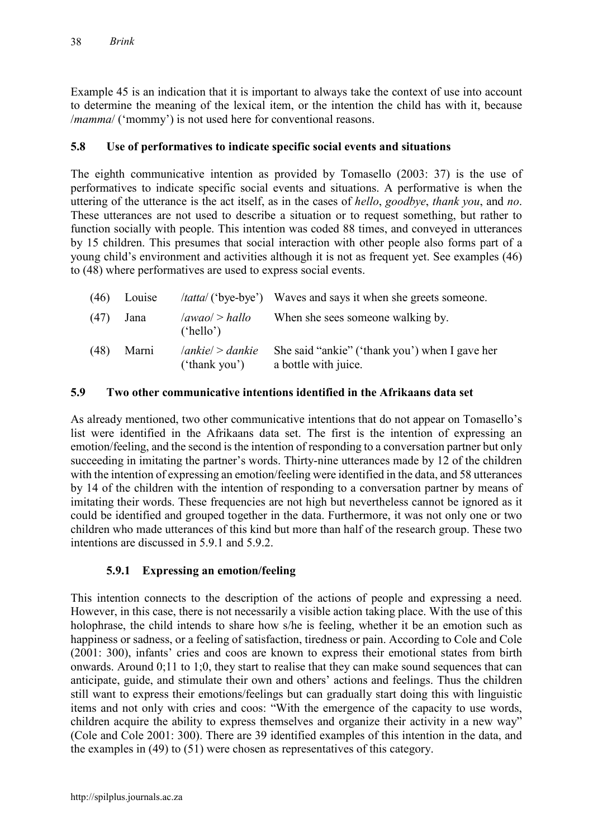Example 45 is an indication that it is important to always take the context of use into account to determine the meaning of the lexical item, or the intention the child has with it, because /*mamma*/ ('mommy') is not used here for conventional reasons.

#### **5.8 Use of performatives to indicate specific social events and situations**

The eighth communicative intention as provided by Tomasello (2003: 37) is the use of performatives to indicate specific social events and situations. A performative is when the uttering of the utterance is the act itself, as in the cases of *hello*, *goodbye*, *thank you*, and *no*. These utterances are not used to describe a situation or to request something, but rather to function socially with people. This intention was coded 88 times, and conveyed in utterances by 15 children. This presumes that social interaction with other people also forms part of a young child's environment and activities although it is not as frequent yet. See examples (46) to (48) where performatives are used to express social events.

| (46) | Louise |                                                              | <i>Itattal</i> ('bye-bye') Waves and says it when she greets someone.  |
|------|--------|--------------------------------------------------------------|------------------------------------------------------------------------|
| (47) | Jana   | $\langle a wao \rangle > \langle b a \rangle$<br>$'$ hello') | When she sees someone walking by.                                      |
| (48) | Marni  | $\langle$ /ankie $\rangle$ > dankie<br>('thank you')         | She said "ankie" ('thank you') when I gave her<br>a bottle with juice. |

#### **5.9 Two other communicative intentions identified in the Afrikaans data set**

As already mentioned, two other communicative intentions that do not appear on Tomasello's list were identified in the Afrikaans data set. The first is the intention of expressing an emotion/feeling, and the second is the intention of responding to a conversation partner but only succeeding in imitating the partner's words. Thirty-nine utterances made by 12 of the children with the intention of expressing an emotion/feeling were identified in the data, and 58 utterances by 14 of the children with the intention of responding to a conversation partner by means of imitating their words. These frequencies are not high but nevertheless cannot be ignored as it could be identified and grouped together in the data. Furthermore, it was not only one or two children who made utterances of this kind but more than half of the research group. These two intentions are discussed in 5.9.1 and 5.9.2.

## **5.9.1 Expressing an emotion/feeling**

This intention connects to the description of the actions of people and expressing a need. However, in this case, there is not necessarily a visible action taking place. With the use of this holophrase, the child intends to share how s/he is feeling, whether it be an emotion such as happiness or sadness, or a feeling of satisfaction, tiredness or pain. According to Cole and Cole (2001: 300), infants' cries and coos are known to express their emotional states from birth onwards. Around 0;11 to 1;0, they start to realise that they can make sound sequences that can anticipate, guide, and stimulate their own and others' actions and feelings. Thus the children still want to express their emotions/feelings but can gradually start doing this with linguistic items and not only with cries and coos: "With the emergence of the capacity to use words, children acquire the ability to express themselves and organize their activity in a new way" (Cole and Cole 2001: 300). There are 39 identified examples of this intention in the data, and the examples in (49) to (51) were chosen as representatives of this category.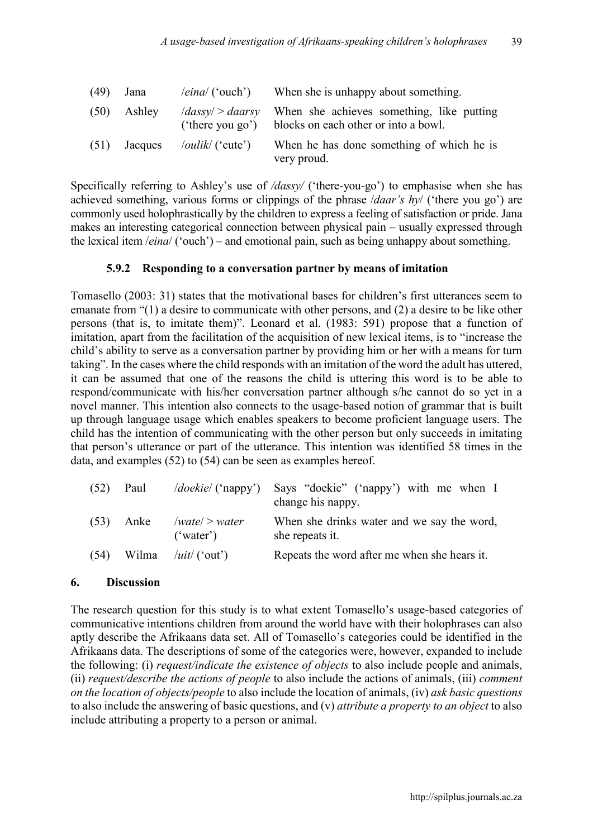| (49) | Jana    | $/e$ <i>ina</i> $/$ ('ouch')                         | When she is unhappy about something.                                              |
|------|---------|------------------------------------------------------|-----------------------------------------------------------------------------------|
| (50) | Ashley  | $\langle dassy \rangle > daarsy$<br>('there you go') | When she achieves something, like putting<br>blocks on each other or into a bowl. |
| (51) | Jacques | / <i>oulik</i> / ('cute')                            | When he has done something of which he is<br>very proud.                          |

Specifically referring to Ashley's use of */dassy/* ('there-you-go') to emphasise when she has achieved something, various forms or clippings of the phrase /*daar's hy*/ ('there you go') are commonly used holophrastically by the children to express a feeling of satisfaction or pride. Jana makes an interesting categorical connection between physical pain – usually expressed through the lexical item /*eina*/ ('ouch') – and emotional pain, such as being unhappy about something.

#### **5.9.2 Responding to a conversation partner by means of imitation**

Tomasello (2003: 31) states that the motivational bases for children's first utterances seem to emanate from "(1) a desire to communicate with other persons, and (2) a desire to be like other persons (that is, to imitate them)". Leonard et al. (1983: 591) propose that a function of imitation, apart from the facilitation of the acquisition of new lexical items, is to "increase the child's ability to serve as a conversation partner by providing him or her with a means for turn taking". In the cases where the child responds with an imitation of the word the adult has uttered, it can be assumed that one of the reasons the child is uttering this word is to be able to respond/communicate with his/her conversation partner although s/he cannot do so yet in a novel manner. This intention also connects to the usage-based notion of grammar that is built up through language usage which enables speakers to become proficient language users. The child has the intention of communicating with the other person but only succeeds in imitating that person's utterance or part of the utterance. This intention was identified 58 times in the data, and examples (52) to (54) can be seen as examples hereof.

| (52) | Paul  | <i>doekie</i> ('nappy')                 | Says "doekie" ('nappy') with me when I<br>change his nappy.   |
|------|-------|-----------------------------------------|---------------------------------------------------------------|
| (53) | Anke  | $\vert wate \vert$ > water<br>("water") | When she drinks water and we say the word,<br>she repeats it. |
| (54) | Wilma | $/uit/$ ('out')                         | Repeats the word after me when she hears it.                  |

#### **6. Discussion**

The research question for this study is to what extent Tomasello's usage-based categories of communicative intentions children from around the world have with their holophrases can also aptly describe the Afrikaans data set. All of Tomasello's categories could be identified in the Afrikaans data. The descriptions of some of the categories were, however, expanded to include the following: (i) *request/indicate the existence of objects* to also include people and animals, (ii) *request/describe the actions of people* to also include the actions of animals, (iii) *comment on the location of objects/people* to also include the location of animals, (iv) *ask basic questions* to also include the answering of basic questions, and (v) *attribute a property to an object* to also include attributing a property to a person or animal.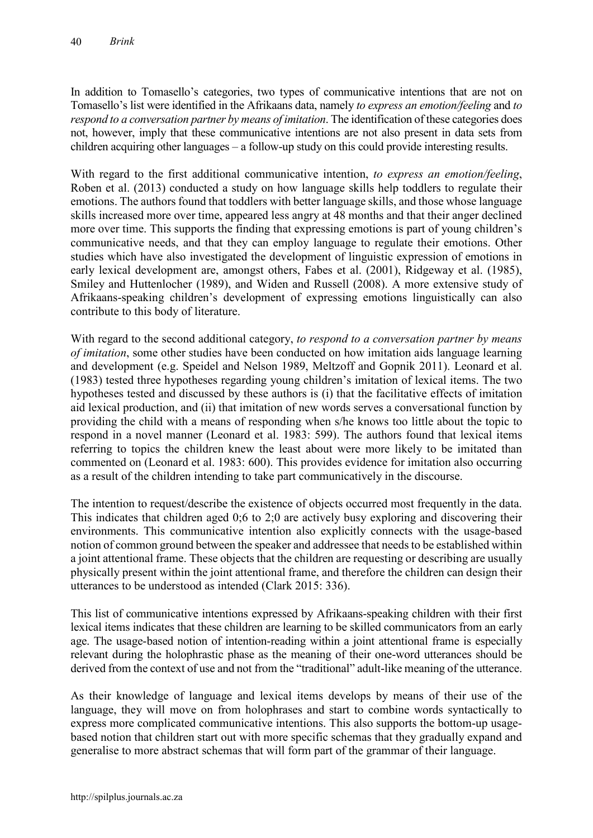In addition to Tomasello's categories, two types of communicative intentions that are not on Tomasello's list were identified in the Afrikaans data, namely *to express an emotion/feeling* and *to respond to a conversation partner by means of imitation*. The identification of these categories does not, however, imply that these communicative intentions are not also present in data sets from children acquiring other languages – a follow-up study on this could provide interesting results.

With regard to the first additional communicative intention, *to express an emotion/feeling*, Roben et al. (2013) conducted a study on how language skills help toddlers to regulate their emotions. The authors found that toddlers with better language skills, and those whose language skills increased more over time, appeared less angry at 48 months and that their anger declined more over time. This supports the finding that expressing emotions is part of young children's communicative needs, and that they can employ language to regulate their emotions. Other studies which have also investigated the development of linguistic expression of emotions in early lexical development are, amongst others, Fabes et al. (2001), Ridgeway et al. (1985), Smiley and Huttenlocher (1989), and Widen and Russell (2008). A more extensive study of Afrikaans-speaking children's development of expressing emotions linguistically can also contribute to this body of literature.

With regard to the second additional category, *to respond to a conversation partner by means of imitation*, some other studies have been conducted on how imitation aids language learning and development (e.g. Speidel and Nelson 1989, Meltzoff and Gopnik 2011). Leonard et al. (1983) tested three hypotheses regarding young children's imitation of lexical items. The two hypotheses tested and discussed by these authors is (i) that the facilitative effects of imitation aid lexical production, and (ii) that imitation of new words serves a conversational function by providing the child with a means of responding when s/he knows too little about the topic to respond in a novel manner (Leonard et al. 1983: 599). The authors found that lexical items referring to topics the children knew the least about were more likely to be imitated than commented on (Leonard et al. 1983: 600). This provides evidence for imitation also occurring as a result of the children intending to take part communicatively in the discourse.

The intention to request/describe the existence of objects occurred most frequently in the data. This indicates that children aged 0;6 to 2;0 are actively busy exploring and discovering their environments. This communicative intention also explicitly connects with the usage-based notion of common ground between the speaker and addressee that needs to be established within a joint attentional frame. These objects that the children are requesting or describing are usually physically present within the joint attentional frame, and therefore the children can design their utterances to be understood as intended (Clark 2015: 336).

This list of communicative intentions expressed by Afrikaans-speaking children with their first lexical items indicates that these children are learning to be skilled communicators from an early age. The usage-based notion of intention-reading within a joint attentional frame is especially relevant during the holophrastic phase as the meaning of their one-word utterances should be derived from the context of use and not from the "traditional" adult-like meaning of the utterance.

As their knowledge of language and lexical items develops by means of their use of the language, they will move on from holophrases and start to combine words syntactically to express more complicated communicative intentions. This also supports the bottom-up usagebased notion that children start out with more specific schemas that they gradually expand and generalise to more abstract schemas that will form part of the grammar of their language.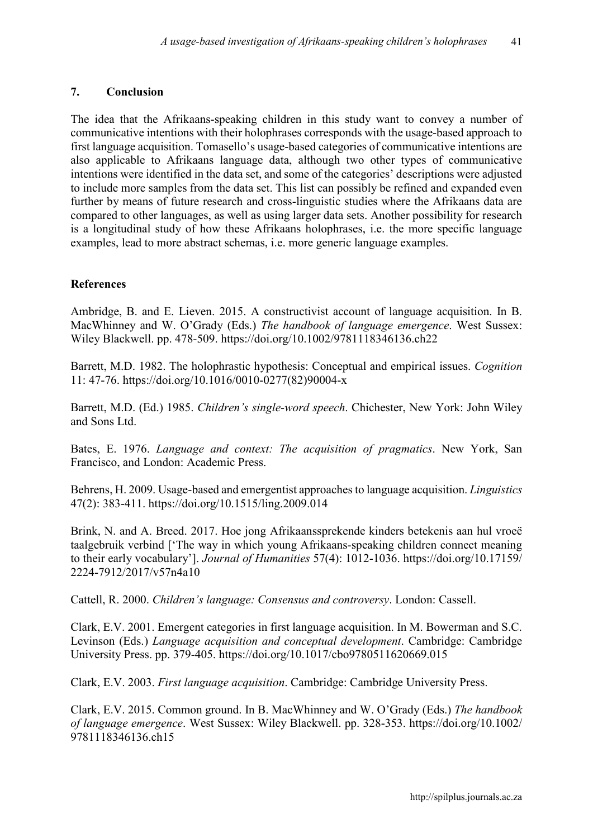#### **7. Conclusion**

The idea that the Afrikaans-speaking children in this study want to convey a number of communicative intentions with their holophrases corresponds with the usage-based approach to first language acquisition. Tomasello's usage-based categories of communicative intentions are also applicable to Afrikaans language data, although two other types of communicative intentions were identified in the data set, and some of the categories' descriptions were adjusted to include more samples from the data set. This list can possibly be refined and expanded even further by means of future research and cross-linguistic studies where the Afrikaans data are compared to other languages, as well as using larger data sets. Another possibility for research is a longitudinal study of how these Afrikaans holophrases, i.e. the more specific language examples, lead to more abstract schemas, i.e. more generic language examples.

## **References**

Ambridge, B. and E. Lieven. 2015. A constructivist account of language acquisition. In B. MacWhinney and W. O'Grady (Eds.) *The handbook of language emergence*. West Sussex: Wiley Blackwell. pp. 478-509. <https://doi.org/10.1002/9781118346136.ch22>

Barrett, M.D. 1982. The holophrastic hypothesis: Conceptual and empirical issues. *Cognition* 11: 47-76. [https://doi.org/10.1016/0010-0277\(82\)90004-x](https://doi.org/10.1016/0010-0277(82)90004-x)

Barrett, M.D. (Ed.) 1985. *Children's single-word speech*. Chichester, New York: John Wiley and Sons Ltd.

Bates, E. 1976. *Language and context: The acquisition of pragmatics*. New York, San Francisco, and London: Academic Press.

Behrens, H. 2009. Usage-based and emergentist approaches to language acquisition. *Linguistics* 47(2): 383-411. <https://doi.org/10.1515/ling.2009.014>

Brink, N. and A. Breed. 2017. Hoe jong Afrikaanssprekende kinders betekenis aan hul vroeë taalgebruik verbind ['The way in which young Afrikaans-speaking children connect meaning to their early vocabulary']. *Journal of Humanities* 57(4): 1012-1036. [https://doi.org/10.17159/](https://doi.org/10.17159/%E2%80%8C2224-7912/2017/v57n4a10) [2224-7912/2017/v57n4a10](https://doi.org/10.17159/%E2%80%8C2224-7912/2017/v57n4a10)

Cattell, R. 2000. *Children's language: Consensus and controversy*. London: Cassell.

Clark, E.V. 2001. Emergent categories in first language acquisition. In M. Bowerman and S.C. Levinson (Eds.) *Language acquisition and conceptual development*. Cambridge: Cambridge University Press. pp. 379-405. <https://doi.org/10.1017/cbo9780511620669.015>

Clark, E.V. 2003. *First language acquisition*. Cambridge: Cambridge University Press.

Clark, E.V. 2015. Common ground. In B. MacWhinney and W. O'Grady (Eds.) *The handbook of language emergence*. West Sussex: Wiley Blackwell. pp. 328-353. [https://doi.org/10.1002/](https://doi.org/10.1002/9781118346136.ch15) [9781118346136.ch15](https://doi.org/10.1002/9781118346136.ch15)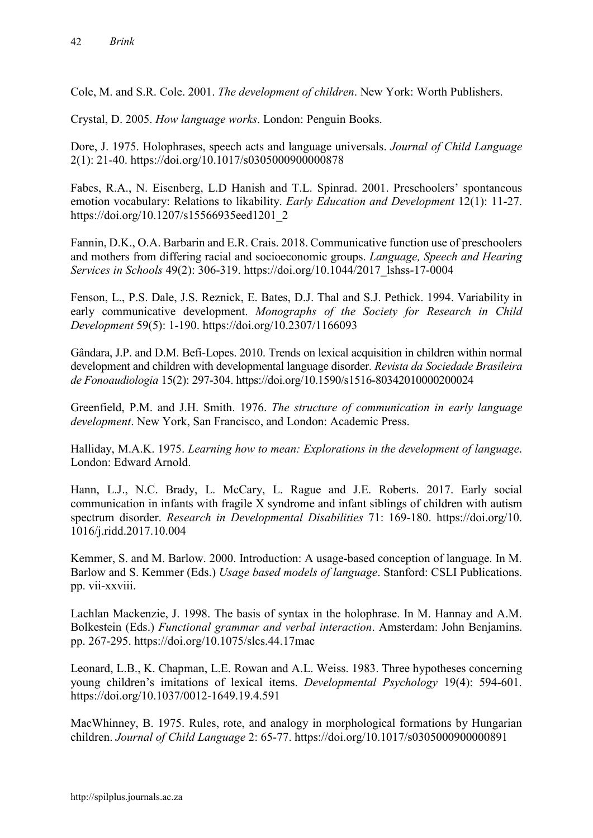Cole, M. and S.R. Cole. 2001. *The development of children*. New York: Worth Publishers.

Crystal, D. 2005. *How language works*. London: Penguin Books.

Dore, J. 1975. Holophrases, speech acts and language universals. *Journal of Child Language* 2(1): 21-40. <https://doi.org/10.1017/s0305000900000878>

Fabes, R.A., N. Eisenberg, L.D Hanish and T.L. Spinrad. 2001. Preschoolers' spontaneous emotion vocabulary: Relations to likability. *Early Education and Development* 12(1): 11-27. [https://doi.org/10.1207/s15566935eed1201\\_2](https://doi.org/10.1207/s15566935eed1201_2)

Fannin, D.K., O.A. Barbarin and E.R. Crais. 2018. Communicative function use of preschoolers and mothers from differing racial and socioeconomic groups. *Language, Speech and Hearing Services in Schools* 49(2): 306-319. [https://doi.org/10.1044/2017\\_lshss-17-0004](https://doi.org/10.1044/2017_lshss-17-0004)

Fenson, L., P.S. Dale, J.S. Reznick, E. Bates, D.J. Thal and S.J. Pethick. 1994. Variability in early communicative development. *Monographs of the Society for Research in Child Development* 59(5): 1-190. <https://doi.org/10.2307/1166093>

Gândara, J.P. and D.M. Befi-Lopes. 2010. Trends on lexical acquisition in children within normal development and children with developmental language disorder. *Revista da Sociedade Brasileira de Fonoaudiologia* 15(2): 297-304. [https://doi.org/10.1590/s1516-80342010000200024](https://doi.org/10.1590/s1516-80342010000%E2%80%8C200024)

Greenfield, P.M. and J.H. Smith. 1976. *The structure of communication in early language development*. New York, San Francisco, and London: Academic Press.

Halliday, M.A.K. 1975. *Learning how to mean: Explorations in the development of language*. London: Edward Arnold.

Hann, L.J., N.C. Brady, L. McCary, L. Rague and J.E. Roberts. 2017. Early social communication in infants with fragile X syndrome and infant siblings of children with autism spectrum disorder. *Research in Developmental Disabilities* 71: 169-180. [https://doi.org/10.](https://doi.org/10.%E2%80%8C1016/j.ridd.2017.10.004) [1016/j.ridd.2017.10.004](https://doi.org/10.%E2%80%8C1016/j.ridd.2017.10.004)

Kemmer, S. and M. Barlow. 2000. Introduction: A usage-based conception of language. In M. Barlow and S. Kemmer (Eds.) *Usage based models of language*. Stanford: CSLI Publications. pp. vii-xxviii.

Lachlan Mackenzie, J. 1998. The basis of syntax in the holophrase. In M. Hannay and A.M. Bolkestein (Eds.) *Functional grammar and verbal interaction*. Amsterdam: John Benjamins. pp. 267-295. <https://doi.org/10.1075/slcs.44.17mac>

Leonard, L.B., K. Chapman, L.E. Rowan and A.L. Weiss. 1983. Three hypotheses concerning young children's imitations of lexical items. *Developmental Psychology* 19(4): 594-601. <https://doi.org/10.1037/0012-1649.19.4.591>

MacWhinney, B. 1975. Rules, rote, and analogy in morphological formations by Hungarian children. *Journal of Child Language* 2: 65-77. <https://doi.org/10.1017/s0305000900000891>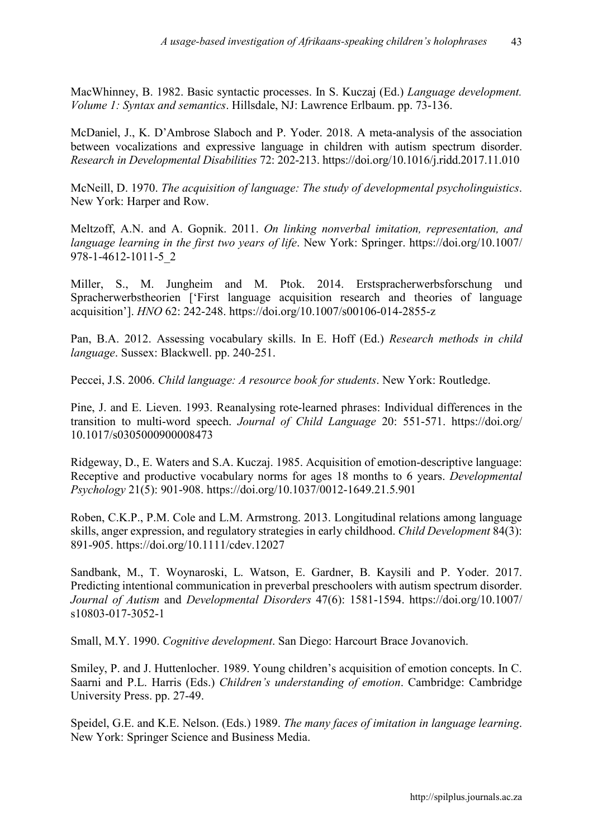MacWhinney, B. 1982. Basic syntactic processes. In S. Kuczaj (Ed.) *Language development. Volume 1: Syntax and semantics*. Hillsdale, NJ: Lawrence Erlbaum. pp. 73-136.

McDaniel, J., K. D'Ambrose Slaboch and P. Yoder. 2018. A meta-analysis of the association between vocalizations and expressive language in children with autism spectrum disorder. *Research in Developmental Disabilities* 72: 202-213. [https://doi.org/10.1016/j.ridd.2017.11.010](https://doi.org/10.1016/j.ridd.2017.11.%E2%80%8C010)

McNeill, D. 1970. *The acquisition of language: The study of developmental psycholinguistics*. New York: Harper and Row.

Meltzoff, A.N. and A. Gopnik. 2011. *On linking nonverbal imitation, representation, and language learning in the first two years of life*. New York: Springer. [https://doi.org/10.1007/](https://doi.org/10.1007/978-1-4612-1011-5_2) [978-1-4612-1011-5\\_2](https://doi.org/10.1007/978-1-4612-1011-5_2)

Miller, S., M. Jungheim and M. Ptok. 2014. Erstspracherwerbsforschung und Spracherwerbstheorien ['First language acquisition research and theories of language acquisition']. *HNO* 62: 242-248. <https://doi.org/10.1007/s00106-014-2855-z>

Pan, B.A. 2012. Assessing vocabulary skills. In E. Hoff (Ed.) *Research methods in child language*. Sussex: Blackwell. pp. 240-251.

Peccei, J.S. 2006. *Child language: A resource book for students*. New York: Routledge.

Pine, J. and E. Lieven. 1993. Reanalysing rote-learned phrases: Individual differences in the transition to multi-word speech. *Journal of Child Language* 20: 551-571. [https://doi.org/](https://doi.org/10.1017/s0305000900008473) [10.1017/s0305000900008473](https://doi.org/10.1017/s0305000900008473)

Ridgeway, D., E. Waters and S.A. Kuczaj. 1985. Acquisition of emotion-descriptive language: Receptive and productive vocabulary norms for ages 18 months to 6 years. *Developmental Psychology* 21(5): 901-908. <https://doi.org/10.1037/0012-1649.21.5.901>

Roben, C.K.P., P.M. Cole and L.M. Armstrong. 2013. Longitudinal relations among language skills, anger expression, and regulatory strategies in early childhood. *Child Development* 84(3): 891-905. <https://doi.org/10.1111/cdev.12027>

Sandbank, M., T. Woynaroski, L. Watson, E. Gardner, B. Kaysili and P. Yoder. 2017. Predicting intentional communication in preverbal preschoolers with autism spectrum disorder. *Journal of Autism* and *Developmental Disorders* 47(6): 1581-1594. [https://doi.org/10.1007/](https://doi.org/%E2%80%8C10.1007/%E2%80%8Cs10803-017-3052-1) [s10803-017-3052-1](https://doi.org/%E2%80%8C10.1007/%E2%80%8Cs10803-017-3052-1)

Small, M.Y. 1990. *Cognitive development*. San Diego: Harcourt Brace Jovanovich.

Smiley, P. and J. Huttenlocher. 1989. Young children's acquisition of emotion concepts. In C. Saarni and P.L. Harris (Eds.) *Children's understanding of emotion*. Cambridge: Cambridge University Press. pp. 27-49.

Speidel, G.E. and K.E. Nelson. (Eds.) 1989. *The many faces of imitation in language learning*. New York: Springer Science and Business Media.